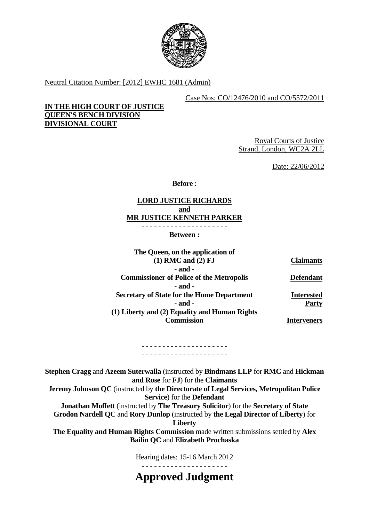

Neutral Citation Number: [2012] EWHC 1681 (Admin)

## Case Nos: CO/12476/2010 and CO/5572/2011

# **IN THE HIGH COURT OF JUSTICE QUEEN'S BENCH DIVISION DIVISIONAL COURT**

Royal Courts of Justice Strand, London, WC2A 2LL

Date: 22/06/2012

**Before** :

# **LORD JUSTICE RICHARDS and MR JUSTICE KENNETH PARKER**

**Between :** 

- - - - - - - - - - - - - - - - - - - - -

| The Queen, on the application of                  |                   |
|---------------------------------------------------|-------------------|
| $(1)$ RMC and $(2)$ FJ                            | <b>Claimants</b>  |
| $-$ and $-$                                       |                   |
| <b>Commissioner of Police of the Metropolis</b>   | <b>Defendant</b>  |
| - and -                                           |                   |
| <b>Secretary of State for the Home Department</b> | <b>Interested</b> |
| - and -                                           | <b>Party</b>      |
| (1) Liberty and (2) Equality and Human Rights     |                   |
| Commission                                        | Interveners       |

#### - - - - - - - - - - - - - - - - - - - - - - - - - - - - - - - - - - - - - - - - - -

**Stephen Cragg** and **Azeem Suterwalla** (instructed by **Bindmans LLP** for **RMC** and **Hickman and Rose** for **FJ**) for the **Claimants Jeremy Johnson QC** (instructed by **the Directorate of Legal Services, Metropolitan Police Service**) for the **Defendant Jonathan Moffett** (instructed by **The Treasury Solicitor**) for the **Secretary of State Grodon Nardell QC** and **Rory Dunlop** (instructed by **the Legal Director of Liberty**) for

**Liberty** 

**The Equality and Human Rights Commission** made written submissions settled by **Alex Bailin QC** and **Elizabeth Prochaska** 

Hearing dates: 15-16 March 2012

- - - - - - - - - - - - - - - - - - - - -

**Approved Judgment**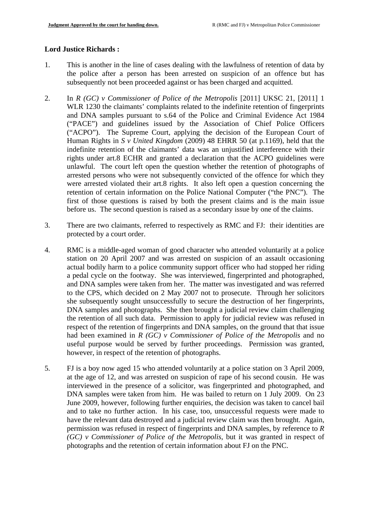# **Lord Justice Richards :**

- 1. This is another in the line of cases dealing with the lawfulness of retention of data by the police after a person has been arrested on suspicion of an offence but has subsequently not been proceeded against or has been charged and acquitted.
- 2. In *R (GC) v Commissioner of Police of the Metropolis* [2011] UKSC 21, [2011] 1 WLR 1230 the claimants' complaints related to the indefinite retention of fingerprints and DNA samples pursuant to s.64 of the Police and Criminal Evidence Act 1984 ("PACE") and guidelines issued by the Association of Chief Police Officers ("ACPO"). The Supreme Court, applying the decision of the European Court of Human Rights in *S v United Kingdom* (2009) 48 EHRR 50 (at p.1169), held that the indefinite retention of the claimants' data was an unjustified interference with their rights under art.8 ECHR and granted a declaration that the ACPO guidelines were unlawful. The court left open the question whether the retention of photographs of arrested persons who were not subsequently convicted of the offence for which they were arrested violated their art.8 rights. It also left open a question concerning the retention of certain information on the Police National Computer ("the PNC"). The first of those questions is raised by both the present claims and is the main issue before us. The second question is raised as a secondary issue by one of the claims.
- 3. There are two claimants, referred to respectively as RMC and FJ: their identities are protected by a court order.
- 4. RMC is a middle-aged woman of good character who attended voluntarily at a police station on 20 April 2007 and was arrested on suspicion of an assault occasioning actual bodily harm to a police community support officer who had stopped her riding a pedal cycle on the footway. She was interviewed, fingerprinted and photographed, and DNA samples were taken from her. The matter was investigated and was referred to the CPS, which decided on 2 May 2007 not to prosecute. Through her solicitors she subsequently sought unsuccessfully to secure the destruction of her fingerprints, DNA samples and photographs. She then brought a judicial review claim challenging the retention of all such data. Permission to apply for judicial review was refused in respect of the retention of fingerprints and DNA samples, on the ground that that issue had been examined in *R (GC) v Commissioner of Police of the Metropolis* and no useful purpose would be served by further proceedings. Permission was granted, however, in respect of the retention of photographs.
- 5. FJ is a boy now aged 15 who attended voluntarily at a police station on 3 April 2009, at the age of 12, and was arrested on suspicion of rape of his second cousin. He was interviewed in the presence of a solicitor, was fingerprinted and photographed, and DNA samples were taken from him. He was bailed to return on 1 July 2009. On 23 June 2009, however, following further enquiries, the decision was taken to cancel bail and to take no further action. In his case, too, unsuccessful requests were made to have the relevant data destroyed and a judicial review claim was then brought. Again, permission was refused in respect of fingerprints and DNA samples, by reference to *R (GC) v Commissioner of Police of the Metropolis*, but it was granted in respect of photographs and the retention of certain information about FJ on the PNC.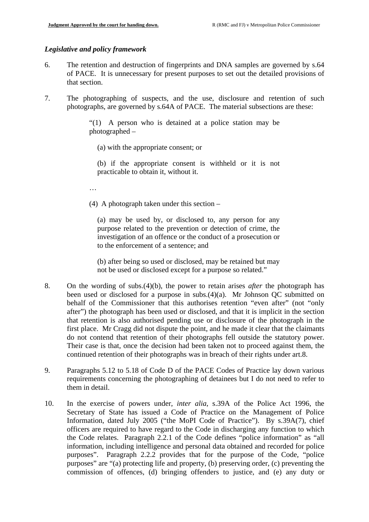### *Legislative and policy framework*

- 6. The retention and destruction of fingerprints and DNA samples are governed by s.64 of PACE. It is unnecessary for present purposes to set out the detailed provisions of that section.
- 7. The photographing of suspects, and the use, disclosure and retention of such photographs, are governed by s.64A of PACE. The material subsections are these:

"(1) A person who is detained at a police station may be photographed –

(a) with the appropriate consent; or

(b) if the appropriate consent is withheld or it is not practicable to obtain it, without it.

…

(4) A photograph taken under this section –

(a) may be used by, or disclosed to, any person for any purpose related to the prevention or detection of crime, the investigation of an offence or the conduct of a prosecution or to the enforcement of a sentence; and

(b) after being so used or disclosed, may be retained but may not be used or disclosed except for a purpose so related."

- 8. On the wording of subs.(4)(b), the power to retain arises *after* the photograph has been used or disclosed for a purpose in subs.(4)(a). Mr Johnson QC submitted on behalf of the Commissioner that this authorises retention "even after" (not "only after") the photograph has been used or disclosed, and that it is implicit in the section that retention is also authorised pending use or disclosure of the photograph in the first place. Mr Cragg did not dispute the point, and he made it clear that the claimants do not contend that retention of their photographs fell outside the statutory power. Their case is that, once the decision had been taken not to proceed against them, the continued retention of their photographs was in breach of their rights under art.8.
- 9. Paragraphs 5.12 to 5.18 of Code D of the PACE Codes of Practice lay down various requirements concerning the photographing of detainees but I do not need to refer to them in detail.
- 10. In the exercise of powers under, *inter alia*, s.39A of the Police Act 1996, the Secretary of State has issued a Code of Practice on the Management of Police Information, dated July 2005 ("the MoPI Code of Practice"). By s.39A(7), chief officers are required to have regard to the Code in discharging any function to which the Code relates. Paragraph 2.2.1 of the Code defines "police information" as "all information, including intelligence and personal data obtained and recorded for police purposes". Paragraph 2.2.2 provides that for the purpose of the Code, "police purposes" are "(a) protecting life and property, (b) preserving order, (c) preventing the commission of offences, (d) bringing offenders to justice, and (e) any duty or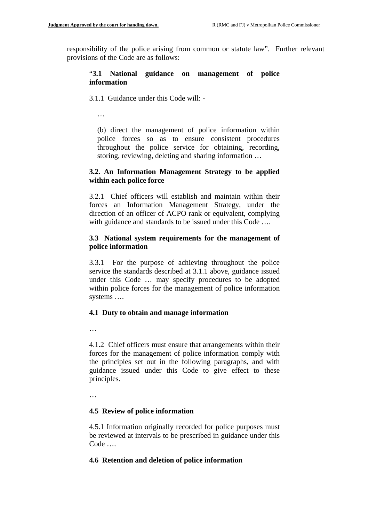responsibility of the police arising from common or statute law". Further relevant provisions of the Code are as follows:

## "**3.1 National guidance on management of police information**

3.1.1 Guidance under this Code will: -

…

(b) direct the management of police information within police forces so as to ensure consistent procedures throughout the police service for obtaining, recording, storing, reviewing, deleting and sharing information …

## **3.2. An Information Management Strategy to be applied within each police force**

3.2.1 Chief officers will establish and maintain within their forces an Information Management Strategy, under the direction of an officer of ACPO rank or equivalent, complying with guidance and standards to be issued under this Code ....

# **3.3 National system requirements for the management of police information**

3.3.1 For the purpose of achieving throughout the police service the standards described at 3.1.1 above, guidance issued under this Code … may specify procedures to be adopted within police forces for the management of police information systems ….

# **4.1 Duty to obtain and manage information**

…

4.1.2 Chief officers must ensure that arrangements within their forces for the management of police information comply with the principles set out in the following paragraphs, and with guidance issued under this Code to give effect to these principles.

…

# **4.5 Review of police information**

4.5.1 Information originally recorded for police purposes must be reviewed at intervals to be prescribed in guidance under this Code ….

### **4.6 Retention and deletion of police information**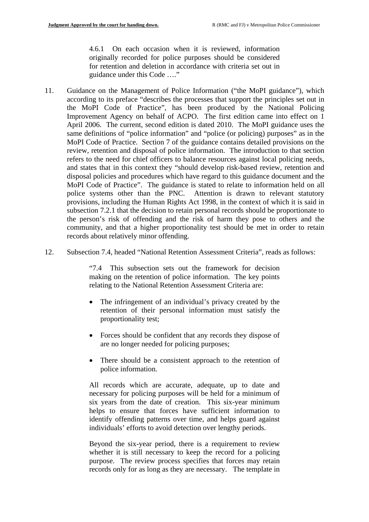4.6.1 On each occasion when it is reviewed, information originally recorded for police purposes should be considered for retention and deletion in accordance with criteria set out in guidance under this Code …."

- 11. Guidance on the Management of Police Information ("the MoPI guidance"), which according to its preface "describes the processes that support the principles set out in the MoPI Code of Practice", has been produced by the National Policing Improvement Agency on behalf of ACPO. The first edition came into effect on 1 April 2006. The current, second edition is dated 2010. The MoPI guidance uses the same definitions of "police information" and "police (or policing) purposes" as in the MoPI Code of Practice. Section 7 of the guidance contains detailed provisions on the review, retention and disposal of police information. The introduction to that section refers to the need for chief officers to balance resources against local policing needs, and states that in this context they "should develop risk-based review, retention and disposal policies and procedures which have regard to this guidance document and the MoPI Code of Practice". The guidance is stated to relate to information held on all police systems other than the PNC. Attention is drawn to relevant statutory provisions, including the Human Rights Act 1998, in the context of which it is said in subsection 7.2.1 that the decision to retain personal records should be proportionate to the person's risk of offending and the risk of harm they pose to others and the community, and that a higher proportionality test should be met in order to retain records about relatively minor offending.
- 12. Subsection 7.4, headed "National Retention Assessment Criteria", reads as follows:

"7.4 This subsection sets out the framework for decision making on the retention of police information. The key points relating to the National Retention Assessment Criteria are:

- The infringement of an individual's privacy created by the retention of their personal information must satisfy the proportionality test;
- Forces should be confident that any records they dispose of are no longer needed for policing purposes;
- There should be a consistent approach to the retention of police information.

All records which are accurate, adequate, up to date and necessary for policing purposes will be held for a minimum of six years from the date of creation. This six-year minimum helps to ensure that forces have sufficient information to identify offending patterns over time, and helps guard against individuals' efforts to avoid detection over lengthy periods.

Beyond the six-year period, there is a requirement to review whether it is still necessary to keep the record for a policing purpose. The review process specifies that forces may retain records only for as long as they are necessary. The template in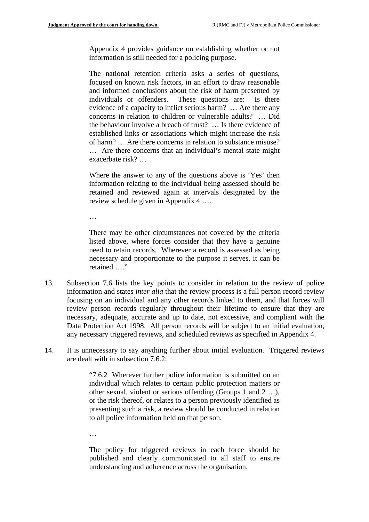Appendix 4 provides guidance on establishing whether or not information is still needed for a policing purpose.

The national retention criteria asks a series of questions, focused on known risk factors, in an effort to draw reasonable and informed conclusions about the risk of harm presented by individuals or offenders. These questions are: Is there evidence of a capacity to inflict serious harm? … Are there any concerns in relation to children or vulnerable adults? … Did the behaviour involve a breach of trust? … Is there evidence of established links or associations which might increase the risk of harm? … Are there concerns in relation to substance misuse? … Are there concerns that an individual's mental state might exacerbate risk? …

Where the answer to any of the questions above is 'Yes' then information relating to the individual being assessed should be retained and reviewed again at intervals designated by the review schedule given in Appendix 4 ….

…

There may be other circumstances not covered by the criteria listed above, where forces consider that they have a genuine need to retain records. Wherever a record is assessed as being necessary and proportionate to the purpose it serves, it can be retained …."

- 13. Subsection 7.6 lists the key points to consider in relation to the review of police information and states *inter alia* that the review process is a full person record review focusing on an individual and any other records linked to them, and that forces will review person records regularly throughout their lifetime to ensure that they are necessary, adequate, accurate and up to date, not excessive, and compliant with the Data Protection Act 1998. All person records will be subject to an initial evaluation, any necessary triggered reviews, and scheduled reviews as specified in Appendix 4.
- 14. It is unnecessary to say anything further about initial evaluation. Triggered reviews are dealt with in subsection 7.6.2:

"7.6.2 Wherever further police information is submitted on an individual which relates to certain public protection matters or other sexual, violent or serious offending (Groups 1 and 2 …), or the risk thereof, or relates to a person previously identified as presenting such a risk, a review should be conducted in relation to all police information held on that person.

…

The policy for triggered reviews in each force should be published and clearly communicated to all staff to ensure understanding and adherence across the organisation.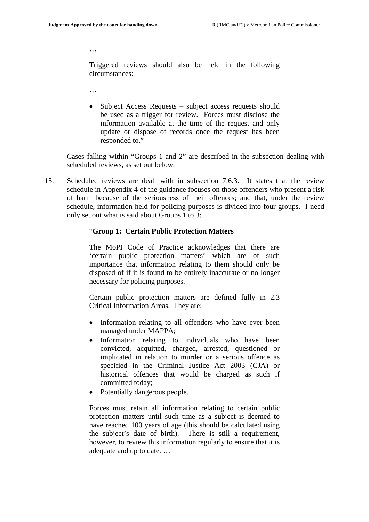…

Triggered reviews should also be held in the following circumstances:

- …
- Subject Access Requests subject access requests should be used as a trigger for review. Forces must disclose the information available at the time of the request and only update or dispose of records once the request has been responded to."

Cases falling within "Groups 1 and 2" are described in the subsection dealing with scheduled reviews, as set out below.

15. Scheduled reviews are dealt with in subsection 7.6.3. It states that the review schedule in Appendix 4 of the guidance focuses on those offenders who present a risk of harm because of the seriousness of their offences; and that, under the review schedule, information held for policing purposes is divided into four groups. I need only set out what is said about Groups 1 to 3:

#### "**Group 1: Certain Public Protection Matters**

The MoPI Code of Practice acknowledges that there are 'certain public protection matters' which are of such importance that information relating to them should only be disposed of if it is found to be entirely inaccurate or no longer necessary for policing purposes.

Certain public protection matters are defined fully in 2.3 Critical Information Areas. They are:

- Information relating to all offenders who have ever been managed under MAPPA;
- Information relating to individuals who have been convicted, acquitted, charged, arrested, questioned or implicated in relation to murder or a serious offence as specified in the Criminal Justice Act 2003 (CJA) or historical offences that would be charged as such if committed today;
- Potentially dangerous people.

Forces must retain all information relating to certain public protection matters until such time as a subject is deemed to have reached 100 years of age (this should be calculated using the subject's date of birth). There is still a requirement, however, to review this information regularly to ensure that it is adequate and up to date. …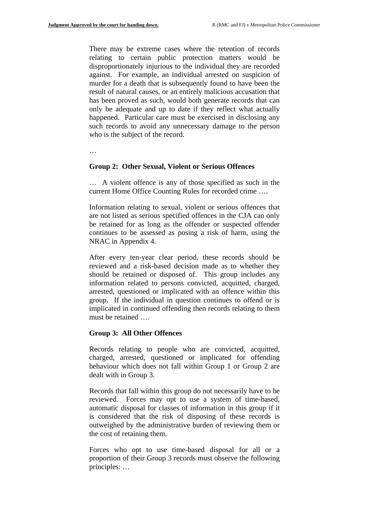There may be extreme cases where the retention of records relating to certain public protection matters would be disproportionately injurious to the individual they are recorded against. For example, an individual arrested on suspicion of murder for a death that is subsequently found to have been the result of natural causes, or an entirely malicious accusation that has been proved as such, would both generate records that can only be adequate and up to date if they reflect what actually happened. Particular care must be exercised in disclosing any such records to avoid any unnecessary damage to the person who is the subject of the record.

…

#### **Group 2: Other Sexual, Violent or Serious Offences**

… A violent offence is any of those specified as such in the current Home Office Counting Rules for recorded crime ….

Information relating to sexual, violent or serious offences that are not listed as serious specified offences in the CJA can only be retained for as long as the offender or suspected offender continues to be assessed as posing a risk of harm, using the NRAC in Appendix 4.

After every ten-year clear period, these records should be reviewed and a risk-based decision made as to whether they should be retained or disposed of. This group includes any information related to persons convicted, acquitted, charged, arrested, questioned or implicated with an offence within this group. If the individual in question continues to offend or is implicated in continued offending then records relating to them must be retained ….

#### **Group 3: All Other Offences**

Records relating to people who are convicted, acquitted, charged, arrested, questioned or implicated for offending behaviour which does not fall within Group 1 or Group 2 are dealt with in Group 3.

Records that fall within this group do not necessarily have to be reviewed. Forces may opt to use a system of time-based, automatic disposal for classes of information in this group if it is considered that the risk of disposing of these records is outweighed by the administrative burden of reviewing them or the cost of retaining them.

Forces who opt to use time-based disposal for all or a proportion of their Group 3 records must observe the following principles: …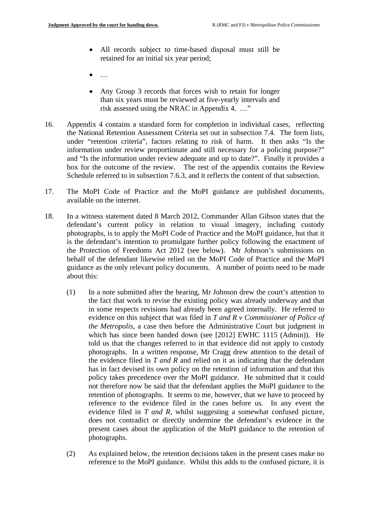- All records subject to time-based disposal must still be retained for an initial six year period;
- $\bullet$  ...
- Any Group 3 records that forces wish to retain for longer than six years must be reviewed at five-yearly intervals and risk assessed using the NRAC in Appendix 4. …"
- 16. Appendix 4 contains a standard form for completion in individual cases, reflecting the National Retention Assessment Criteria set out in subsection 7.4. The form lists, under "retention criteria", factors relating to risk of harm. It then asks "Is the information under review proportionate and still necessary for a policing purpose?" and "Is the information under review adequate and up to date?". Finally it provides a box for the outcome of the review. The rest of the appendix contains the Review Schedule referred to in subsection 7.6.3, and it reflects the content of that subsection.
- 17. The MoPI Code of Practice and the MoPI guidance are published documents, available on the internet.
- 18. In a witness statement dated 8 March 2012, Commander Allan Gibson states that the defendant's current policy in relation to visual imagery, including custody photographs, is to apply the MoPI Code of Practice and the MoPI guidance, but that it is the defendant's intention to promulgate further policy following the enactment of the Protection of Freedoms Act 2012 (see below). Mr Johnson's submissions on behalf of the defendant likewise relied on the MoPI Code of Practice and the MoPI guidance as the only relevant policy documents. A number of points need to be made about this:
	- (1) In a note submitted after the hearing, Mr Johnson drew the court's attention to the fact that work to revise the existing policy was already underway and that in some respects revisions had already been agreed internally. He referred to evidence on this subject that was filed in *T and R v Commissioner of Police of the Metropolis*, a case then before the Administrative Court but judgment in which has since been handed down (see [2012] EWHC 1115 (Admin)). He told us that the changes referred to in that evidence did not apply to custody photographs. In a written response, Mr Cragg drew attention to the detail of the evidence filed in *T and R* and relied on it as indicating that the defendant has in fact devised its own policy on the retention of information and that this policy takes precedence over the MoPI guidance. He submitted that it could not therefore now be said that the defendant applies the MoPI guidance to the retention of photographs. It seems to me, however, that we have to proceed by reference to the evidence filed in the cases before us. In any event the evidence filed in *T and R*, whilst suggesting a somewhat confused picture, does not contradict or directly undermine the defendant's evidence in the present cases about the application of the MoPI guidance to the retention of photographs.
	- (2) As explained below, the retention decisions taken in the present cases make no reference to the MoPI guidance. Whilst this adds to the confused picture, it is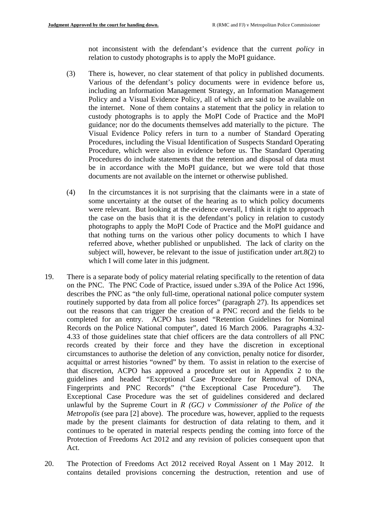not inconsistent with the defendant's evidence that the current *policy* in relation to custody photographs is to apply the MoPI guidance.

- (3) There is, however, no clear statement of that policy in published documents. Various of the defendant's policy documents were in evidence before us, including an Information Management Strategy, an Information Management Policy and a Visual Evidence Policy, all of which are said to be available on the internet. None of them contains a statement that the policy in relation to custody photographs is to apply the MoPI Code of Practice and the MoPI guidance; nor do the documents themselves add materially to the picture. The Visual Evidence Policy refers in turn to a number of Standard Operating Procedures, including the Visual Identification of Suspects Standard Operating Procedure, which were also in evidence before us. The Standard Operating Procedures do include statements that the retention and disposal of data must be in accordance with the MoPI guidance, but we were told that those documents are not available on the internet or otherwise published.
- (4) In the circumstances it is not surprising that the claimants were in a state of some uncertainty at the outset of the hearing as to which policy documents were relevant. But looking at the evidence overall, I think it right to approach the case on the basis that it is the defendant's policy in relation to custody photographs to apply the MoPI Code of Practice and the MoPI guidance and that nothing turns on the various other policy documents to which I have referred above, whether published or unpublished. The lack of clarity on the subject will, however, be relevant to the issue of justification under art.8(2) to which I will come later in this judgment.
- 19. There is a separate body of policy material relating specifically to the retention of data on the PNC. The PNC Code of Practice, issued under s.39A of the Police Act 1996, describes the PNC as "the only full-time, operational national police computer system routinely supported by data from all police forces" (paragraph 27). Its appendices set out the reasons that can trigger the creation of a PNC record and the fields to be completed for an entry. ACPO has issued "Retention Guidelines for Nominal Records on the Police National computer", dated 16 March 2006. Paragraphs 4.32- 4.33 of those guidelines state that chief officers are the data controllers of all PNC records created by their force and they have the discretion in exceptional circumstances to authorise the deletion of any conviction, penalty notice for disorder, acquittal or arrest histories "owned" by them. To assist in relation to the exercise of that discretion, ACPO has approved a procedure set out in Appendix 2 to the guidelines and headed "Exceptional Case Procedure for Removal of DNA, Fingerprints and PNC Records" ("the Exceptional Case Procedure"). The Exceptional Case Procedure was the set of guidelines considered and declared unlawful by the Supreme Court in *R (GC) v Commissioner of the Police of the Metropolis* (see para [2] above). The procedure was, however, applied to the requests made by the present claimants for destruction of data relating to them, and it continues to be operated in material respects pending the coming into force of the Protection of Freedoms Act 2012 and any revision of policies consequent upon that Act.
- 20. The Protection of Freedoms Act 2012 received Royal Assent on 1 May 2012. It contains detailed provisions concerning the destruction, retention and use of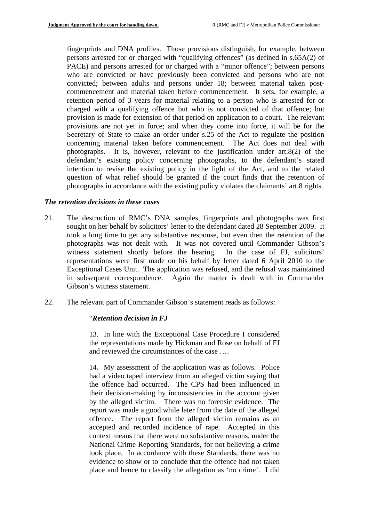fingerprints and DNA profiles. Those provisions distinguish, for example, between persons arrested for or charged with "qualifying offences" (as defined in s.65A(2) of PACE) and persons arrested for or charged with a "minor offence"; between persons who are convicted or have previously been convicted and persons who are not convicted; between adults and persons under 18; between material taken postcommencement and material taken before commencement. It sets, for example, a retention period of 3 years for material relating to a person who is arrested for or charged with a qualifying offence but who is not convicted of that offence; but provision is made for extension of that period on application to a court. The relevant provisions are not yet in force; and when they come into force, it will be for the Secretary of State to make an order under s.25 of the Act to regulate the position concerning material taken before commencement. The Act does not deal with photographs. It is, however, relevant to the justification under art.8(2) of the defendant's existing policy concerning photographs, to the defendant's stated intention to revise the existing policy in the light of the Act, and to the related question of what relief should be granted if the court finds that the retention of photographs in accordance with the existing policy violates the claimants' art.8 rights.

#### *The retention decisions in these cases*

- 21. The destruction of RMC's DNA samples, fingerprints and photographs was first sought on her behalf by solicitors' letter to the defendant dated 28 September 2009. It took a long time to get any substantive response, but even then the retention of the photographs was not dealt with. It was not covered until Commander Gibson's witness statement shortly before the hearing. In the case of FJ, solicitors' representations were first made on his behalf by letter dated 6 April 2010 to the Exceptional Cases Unit. The application was refused, and the refusal was maintained in subsequent correspondence. Again the matter is dealt with in Commander Gibson's witness statement.
- 22. The relevant part of Commander Gibson's statement reads as follows:

#### "*Retention decision in FJ*

13. In line with the Exceptional Case Procedure I considered the representations made by Hickman and Rose on behalf of FJ and reviewed the circumstances of the case ….

14. My assessment of the application was as follows. Police had a video taped interview from an alleged victim saying that the offence had occurred. The CPS had been influenced in their decision-making by inconsistencies in the account given by the alleged victim. There was no forensic evidence. The report was made a good while later from the date of the alleged offence. The report from the alleged victim remains as an accepted and recorded incidence of rape. Accepted in this context means that there were no substantive reasons, under the National Crime Reporting Standards, for not believing a crime took place. In accordance with these Standards, there was no evidence to show or to conclude that the offence had not taken place and hence to classify the allegation as 'no crime'. I did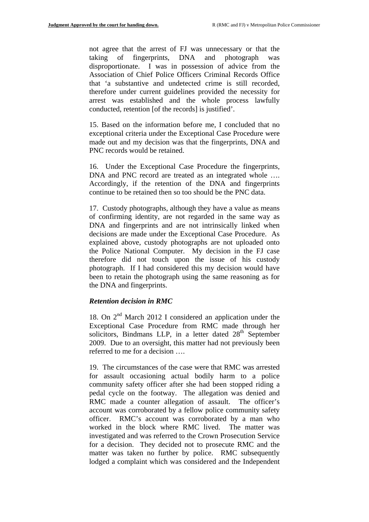not agree that the arrest of FJ was unnecessary or that the taking of fingerprints, DNA and photograph was disproportionate. I was in possession of advice from the Association of Chief Police Officers Criminal Records Office that 'a substantive and undetected crime is still recorded, therefore under current guidelines provided the necessity for arrest was established and the whole process lawfully conducted, retention [of the records] is justified'.

15. Based on the information before me, I concluded that no exceptional criteria under the Exceptional Case Procedure were made out and my decision was that the fingerprints, DNA and PNC records would be retained.

16. Under the Exceptional Case Procedure the fingerprints, DNA and PNC record are treated as an integrated whole .... Accordingly, if the retention of the DNA and fingerprints continue to be retained then so too should be the PNC data.

17. Custody photographs, although they have a value as means of confirming identity, are not regarded in the same way as DNA and fingerprints and are not intrinsically linked when decisions are made under the Exceptional Case Procedure. As explained above, custody photographs are not uploaded onto the Police National Computer. My decision in the FJ case therefore did not touch upon the issue of his custody photograph. If I had considered this my decision would have been to retain the photograph using the same reasoning as for the DNA and fingerprints.

### *Retention decision in RMC*

18. On 2nd March 2012 I considered an application under the Exceptional Case Procedure from RMC made through her solicitors, Bindmans LLP, in a letter dated  $28<sup>th</sup>$  September 2009. Due to an oversight, this matter had not previously been referred to me for a decision ….

19. The circumstances of the case were that RMC was arrested for assault occasioning actual bodily harm to a police community safety officer after she had been stopped riding a pedal cycle on the footway. The allegation was denied and RMC made a counter allegation of assault. The officer's account was corroborated by a fellow police community safety officer. RMC's account was corroborated by a man who worked in the block where RMC lived. The matter was investigated and was referred to the Crown Prosecution Service for a decision. They decided not to prosecute RMC and the matter was taken no further by police. RMC subsequently lodged a complaint which was considered and the Independent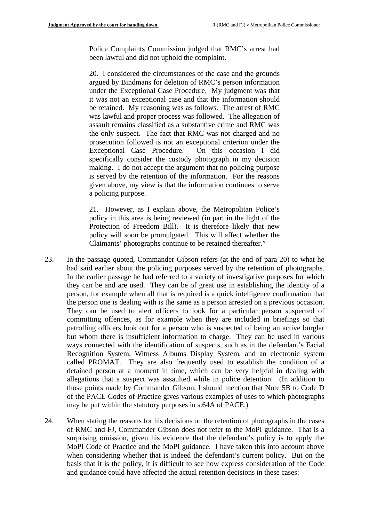Police Complaints Commission judged that RMC's arrest had been lawful and did not uphold the complaint.

20. I considered the circumstances of the case and the grounds argued by Bindmans for deletion of RMC's person information under the Exceptional Case Procedure. My judgment was that it was not an exceptional case and that the information should be retained. My reasoning was as follows. The arrest of RMC was lawful and proper process was followed. The allegation of assault remains classified as a substantive crime and RMC was the only suspect. The fact that RMC was not charged and no prosecution followed is not an exceptional criterion under the Exceptional Case Procedure. On this occasion I did specifically consider the custody photograph in my decision making. I do not accept the argument that no policing purpose is served by the retention of the information. For the reasons given above, my view is that the information continues to serve a policing purpose.

21. However, as I explain above, the Metropolitan Police's policy in this area is being reviewed (in part in the light of the Protection of Freedom Bill). It is therefore likely that new policy will soon be promulgated. This will affect whether the Claimants' photographs continue to be retained thereafter."

- 23. In the passage quoted, Commander Gibson refers (at the end of para 20) to what he had said earlier about the policing purposes served by the retention of photographs. In the earlier passage he had referred to a variety of investigative purposes for which they can be and are used. They can be of great use in establishing the identity of a person, for example when all that is required is a quick intelligence confirmation that the person one is dealing with is the same as a person arrested on a previous occasion. They can be used to alert officers to look for a particular person suspected of committing offences, as for example when they are included in briefings so that patrolling officers look out for a person who is suspected of being an active burglar but whom there is insufficient information to charge. They can be used in various ways connected with the identification of suspects, such as in the defendant's Facial Recognition System, Witness Albums Display System, and an electronic system called PROMAT. They are also frequently used to establish the condition of a detained person at a moment in time, which can be very helpful in dealing with allegations that a suspect was assaulted while in police detention. (In addition to those points made by Commander Gibson, I should mention that Note 5B to Code D of the PACE Codes of Practice gives various examples of uses to which photographs may be put within the statutory purposes in s.64A of PACE.)
- 24. When stating the reasons for his decisions on the retention of photographs in the cases of RMC and FJ, Commander Gibson does not refer to the MoPI guidance. That is a surprising omission, given his evidence that the defendant's policy is to apply the MoPI Code of Practice and the MoPI guidance. I have taken this into account above when considering whether that is indeed the defendant's current policy. But on the basis that it is the policy, it is difficult to see how express consideration of the Code and guidance could have affected the actual retention decisions in these cases: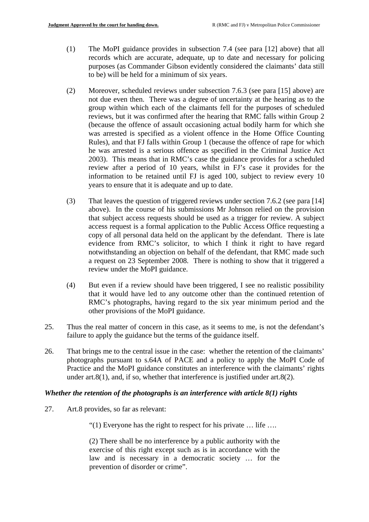- (1) The MoPI guidance provides in subsection 7.4 (see para [12] above) that all records which are accurate, adequate, up to date and necessary for policing purposes (as Commander Gibson evidently considered the claimants' data still to be) will be held for a minimum of six years.
- (2) Moreover, scheduled reviews under subsection 7.6.3 (see para [15] above) are not due even then. There was a degree of uncertainty at the hearing as to the group within which each of the claimants fell for the purposes of scheduled reviews, but it was confirmed after the hearing that RMC falls within Group 2 (because the offence of assault occasioning actual bodily harm for which she was arrested is specified as a violent offence in the Home Office Counting Rules), and that FJ falls within Group 1 (because the offence of rape for which he was arrested is a serious offence as specified in the Criminal Justice Act 2003). This means that in RMC's case the guidance provides for a scheduled review after a period of 10 years, whilst in FJ's case it provides for the information to be retained until FJ is aged 100, subject to review every 10 years to ensure that it is adequate and up to date.
- (3) That leaves the question of triggered reviews under section 7.6.2 (see para [14] above). In the course of his submissions Mr Johnson relied on the provision that subject access requests should be used as a trigger for review. A subject access request is a formal application to the Public Access Office requesting a copy of all personal data held on the applicant by the defendant. There is late evidence from RMC's solicitor, to which I think it right to have regard notwithstanding an objection on behalf of the defendant, that RMC made such a request on 23 September 2008. There is nothing to show that it triggered a review under the MoPI guidance.
- (4) But even if a review should have been triggered, I see no realistic possibility that it would have led to any outcome other than the continued retention of RMC's photographs, having regard to the six year minimum period and the other provisions of the MoPI guidance.
- 25. Thus the real matter of concern in this case, as it seems to me, is not the defendant's failure to apply the guidance but the terms of the guidance itself.
- 26. That brings me to the central issue in the case: whether the retention of the claimants' photographs pursuant to s.64A of PACE and a policy to apply the MoPI Code of Practice and the MoPI guidance constitutes an interference with the claimants' rights under art. $8(1)$ , and, if so, whether that interference is justified under art. $8(2)$ .

### *Whether the retention of the photographs is an interference with article 8(1) rights*

27. Art.8 provides, so far as relevant:

"(1) Everyone has the right to respect for his private … life ….

(2) There shall be no interference by a public authority with the exercise of this right except such as is in accordance with the law and is necessary in a democratic society … for the prevention of disorder or crime".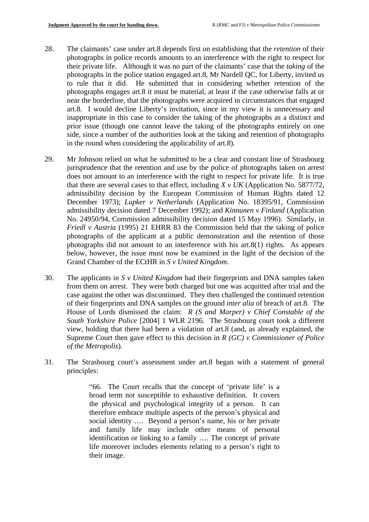- 28. The claimants' case under art.8 depends first on establishing that the *retention* of their photographs in police records amounts to an interference with the right to respect for their private life. Although it was no part of the claimants' case that the *taking* of the photographs in the police station engaged art.8, Mr Nardell QC, for Liberty, invited us to rule that it did. He submitted that in considering whether retention of the photographs engages art.8 it must be material, at least if the case otherwise falls at or near the borderline, that the photographs were acquired in circumstances that engaged art.8. I would decline Liberty's invitation, since in my view it is unnecessary and inappropriate in this case to consider the taking of the photographs as a distinct and prior issue (though one cannot leave the taking of the photographs entirely on one side, since a number of the authorities look at the taking and retention of photographs in the round when considering the applicability of art.8).
- 29. Mr Johnson relied on what he submitted to be a clear and constant line of Strasbourg jurisprudence that the retention and use by the police of photographs taken on arrest does not amount to an interference with the right to respect for private life. It is true that there are several cases to that effect, including  $X \vee UK$  (Application No. 5877/72, admissibility decision by the European Commission of Human Rights dated 12 December 1973); *Lupker v Netherlands* (Application No. 18395/91, Commission admissibility decision dated 7 December 1992); and *Kinnunen v Finland* (Application No. 24950/94, Commission admissibility decision dated 15 May 1996). Similarly, in *Friedl v Austria* (1995) 21 EHRR 83 the Commission held that the taking of police photographs of the applicant at a public demonstration and the retention of those photographs did not amount to an interference with his art.8(1) rights. As appears below, however, the issue must now be examined in the light of the decision of the Grand Chamber of the ECtHR in *S v United Kingdom*.
- House of Lords dismissed the claim: *R (S and Marper) v Chief Constable of the*  30. The applicants in *S v United Kingdom* had their fingerprints and DNA samples taken from them on arrest. They were both charged but one was acquitted after trial and the case against the other was discontinued. They then challenged the continued retention of their fingerprints and DNA samples on the ground *inter alia* of breach of art.8. The *South Yorkshire Police* [2004] 1 WLR 2196. The Strasbourg court took a different view, holding that there had been a violation of art.8 (and, as already explained, the Supreme Court then gave effect to this decision in *R (GC) v Commissioner of Police of the Metropolis*).
- 31. The Strasbourg court's assessment under art.8 began with a statement of general principles:

"66. The Court recalls that the concept of 'private life' is a broad term not susceptible to exhaustive definition. It covers the physical and psychological integrity of a person. It can therefore embrace multiple aspects of the person's physical and social identity …. Beyond a person's name, his or her private and family life may include other means of personal identification or linking to a family …. The concept of private life moreover includes elements relating to a person's right to their image.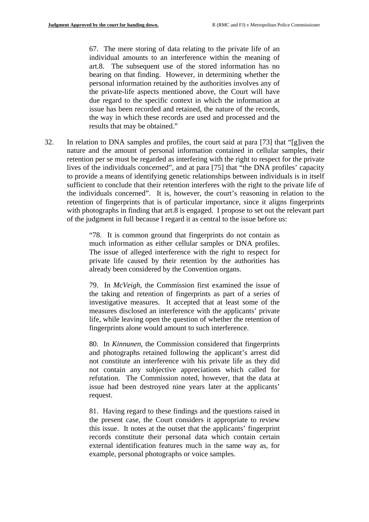67. The mere storing of data relating to the private life of an individual amounts to an interference within the meaning of art.8. The subsequent use of the stored information has no bearing on that finding. However, in determining whether the personal information retained by the authorities involves any of the private-life aspects mentioned above, the Court will have due regard to the specific context in which the information at issue has been recorded and retained, the nature of the records, the way in which these records are used and processed and the results that may be obtained."

32. In relation to DNA samples and profiles, the court said at para [73] that "[g]iven the nature and the amount of personal information contained in cellular samples, their retention per se must be regarded as interfering with the right to respect for the private lives of the individuals concerned", and at para [75] that "the DNA profiles' capacity to provide a means of identifying genetic relationships between individuals is in itself sufficient to conclude that their retention interferes with the right to the private life of the individuals concerned". It is, however, the court's reasoning in relation to the retention of fingerprints that is of particular importance, since it aligns fingerprints with photographs in finding that art.8 is engaged. I propose to set out the relevant part of the judgment in full because I regard it as central to the issue before us:

> much information as either cellular samples or DNA profiles. "78. It is common ground that fingerprints do not contain as The issue of alleged interference with the right to respect for private life caused by their retention by the authorities has already been considered by the Convention organs.

> 79. In *McVeigh*, the Commission first examined the issue of the taking and retention of fingerprints as part of a series of investigative measures. It accepted that at least some of the measures disclosed an interference with the applicants' private life, while leaving open the question of whether the retention of fingerprints alone would amount to such interference.

> 80. In *Kinnunen*, the Commission considered that fingerprints and photographs retained following the applicant's arrest did not constitute an interference with his private life as they did not contain any subjective appreciations which called for refutation. The Commission noted, however, that the data at issue had been destroyed nine years later at the applicants' request.

> 81. Having regard to these findings and the questions raised in the present case, the Court considers it appropriate to review this issue. It notes at the outset that the applicants' fingerprint records constitute their personal data which contain certain external identification features much in the same way as, for example, personal photographs or voice samples.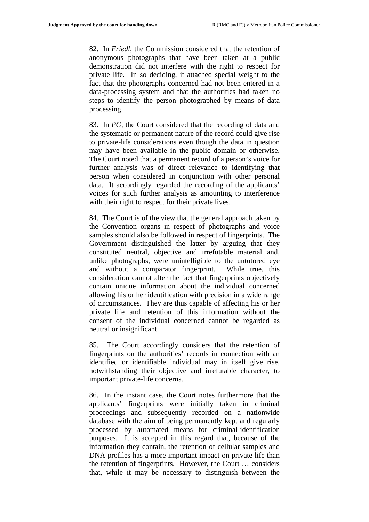82. In *Friedl*, the Commission considered that the retention of anonymous photographs that have been taken at a public demonstration did not interfere with the right to respect for private life. In so deciding, it attached special weight to the fact that the photographs concerned had not been entered in a data-processing system and that the authorities had taken no steps to identify the person photographed by means of data processing.

83. In *PG*, the Court considered that the recording of data and the systematic or permanent nature of the record could give rise to private-life considerations even though the data in question may have been available in the public domain or otherwise. The Court noted that a permanent record of a person's voice for further analysis was of direct relevance to identifying that person when considered in conjunction with other personal data. It accordingly regarded the recording of the applicants' voices for such further analysis as amounting to interference with their right to respect for their private lives.

84. The Court is of the view that the general approach taken by the Convention organs in respect of photographs and voice samples should also be followed in respect of fingerprints. The Government distinguished the latter by arguing that they constituted neutral, objective and irrefutable material and, unlike photographs, were unintelligible to the untutored eye and without a comparator fingerprint. While true, this consideration cannot alter the fact that fingerprints objectively contain unique information about the individual concerned allowing his or her identification with precision in a wide range of circumstances. They are thus capable of affecting his or her private life and retention of this information without the consent of the individual concerned cannot be regarded as neutral or insignificant.

85. The Court accordingly considers that the retention of fingerprints on the authorities' records in connection with an identified or identifiable individual may in itself give rise, notwithstanding their objective and irrefutable character, to important private-life concerns.

86. In the instant case, the Court notes furthermore that the applicants' fingerprints were initially taken in criminal proceedings and subsequently recorded on a nationwide database with the aim of being permanently kept and regularly processed by automated means for criminal-identification purposes. It is accepted in this regard that, because of the information they contain, the retention of cellular samples and DNA profiles has a more important impact on private life than the retention of fingerprints. However, the Court … considers that, while it may be necessary to distinguish between the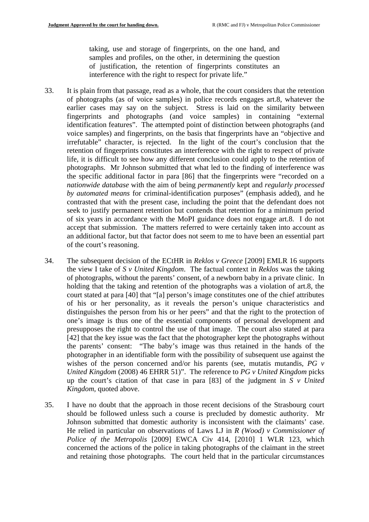taking, use and storage of fingerprints, on the one hand, and samples and profiles, on the other, in determining the question of justification, the retention of fingerprints constitutes an interference with the right to respect for private life."

- 33. It is plain from that passage, read as a whole, that the court considers that the retention of photographs (as of voice samples) in police records engages art.8, whatever the earlier cases may say on the subject. Stress is laid on the similarity between fingerprints and photographs (and voice samples) in containing "external identification features". The attempted point of distinction between photographs (and voice samples) and fingerprints, on the basis that fingerprints have an "objective and irrefutable" character, is rejected. In the light of the court's conclusion that the retention of fingerprints constitutes an interference with the right to respect of private life, it is difficult to see how any different conclusion could apply to the retention of photographs. Mr Johnson submitted that what led to the finding of interference was the specific additional factor in para [86] that the fingerprints were "recorded on a *nationwide database* with the aim of being *permanently* kept and *regularly processed by automated means* for criminal-identification purposes" (emphasis added), and he contrasted that with the present case, including the point that the defendant does not seek to justify permanent retention but contends that retention for a minimum period of six years in accordance with the MoPI guidance does not engage art.8. I do not accept that submission. The matters referred to were certainly taken into account as an additional factor, but that factor does not seem to me to have been an essential part of the court's reasoning.
- 34. The subsequent decision of the ECtHR in *Reklos v Greece* [2009] EMLR 16 supports the view I take of *S v United Kingdom*. The factual context in *Reklos* was the taking of photographs, without the parents' consent, of a newborn baby in a private clinic. In holding that the taking and retention of the photographs was a violation of art.8, the court stated at para [40] that "[a] person's image constitutes one of the chief attributes of his or her personality, as it reveals the person's unique characteristics and distinguishes the person from his or her peers" and that the right to the protection of one's image is thus one of the essential components of personal development and presupposes the right to control the use of that image. The court also stated at para [42] that the key issue was the fact that the photographer kept the photographs without the parents' consent: "The baby's image was thus retained in the hands of the photographer in an identifiable form with the possibility of subsequent use against the wishes of the person concerned and/or his parents (see, mutatis mutandis, PG v *United Kingdom* (2008) 46 EHRR 51)". The reference to *PG v United Kingdom* picks up the court's citation of that case in para [83] of the judgment in *S v United Kingdom*, quoted above.
- 35. I have no doubt that the approach in those recent decisions of the Strasbourg court should be followed unless such a course is precluded by domestic authority. Mr Johnson submitted that domestic authority is inconsistent with the claimants' case. He relied in particular on observations of Laws LJ in *R (Wood) v Commissioner of Police of the Metropolis* [2009] EWCA Civ 414, [2010] 1 WLR 123, which concerned the actions of the police in taking photographs of the claimant in the street and retaining those photographs. The court held that in the particular circumstances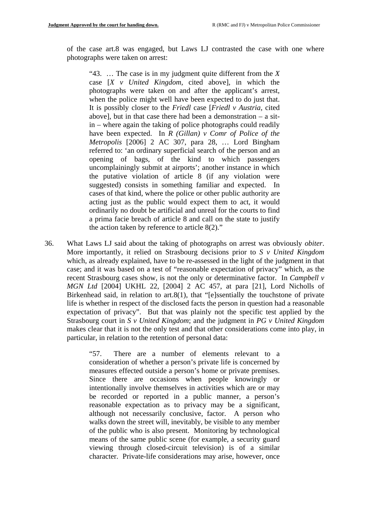of the case art.8 was engaged, but Laws LJ contrasted the case with one where photographs were taken on arrest:

when the police might well have been expected to do just that. "43. … The case is in my judgment quite different from the *X*  case [*X v United Kingdom*, cited above], in which the photographs were taken on and after the applicant's arrest, It is possibly closer to the *Friedl* case [*Friedl v Austria*, cited above], but in that case there had been a demonstration – a sitin – where again the taking of police photographs could readily have been expected. In *R (Gillan) v Comr of Police of the Metropolis* [2006] 2 AC 307, para 28, … Lord Bingham referred to: 'an ordinary superficial search of the person and an opening of bags, of the kind to which passengers uncomplainingly submit at airports'; another instance in which the putative violation of article 8 (if any violation were suggested) consists in something familiar and expected. In cases of that kind, where the police or other public authority are acting just as the public would expect them to act, it would ordinarily no doubt be artificial and unreal for the courts to find a prima facie breach of article 8 and call on the state to justify the action taken by reference to article 8(2)."

36. What Laws LJ said about the taking of photographs on arrest was obviously *obiter*. More importantly, it relied on Strasbourg decisions prior to *S v United Kingdom*  which, as already explained, have to be re-assessed in the light of the judgment in that case; and it was based on a test of "reasonable expectation of privacy" which, as the recent Strasbourg cases show, is not the only or determinative factor. In *Campbell v MGN Ltd* [2004] UKHL 22, [2004] 2 AC 457, at para [21], Lord Nicholls of Birkenhead said, in relation to art.8(1), that "[e]ssentially the touchstone of private life is whether in respect of the disclosed facts the person in question had a reasonable expectation of privacy". But that was plainly not the specific test applied by the Strasbourg court in *S v United Kingdom*; and the judgment in *PG v United Kingdom*  makes clear that it is not the only test and that other considerations come into play, in particular, in relation to the retention of personal data:

> measures effected outside a person's home or private premises. "57. There are a number of elements relevant to a consideration of whether a person's private life is concerned by Since there are occasions when people knowingly or intentionally involve themselves in activities which are or may be recorded or reported in a public manner, a person's reasonable expectation as to privacy may be a significant, although not necessarily conclusive, factor. A person who walks down the street will, inevitably, be visible to any member of the public who is also present. Monitoring by technological means of the same public scene (for example, a security guard viewing through closed-circuit television) is of a similar character. Private-life considerations may arise, however, once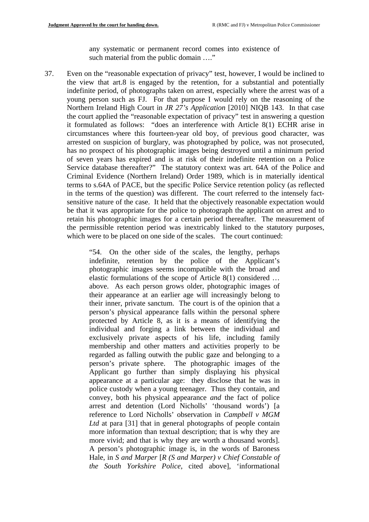any systematic or permanent record comes into existence of such material from the public domain ...."

37. Even on the "reasonable expectation of privacy" test, however, I would be inclined to the view that art.8 is engaged by the retention, for a substantial and potentially indefinite period, of photographs taken on arrest, especially where the arrest was of a young person such as FJ. For that purpose I would rely on the reasoning of the Northern Ireland High Court in *JR 27's Application* [2010] NIQB 143. In that case the court applied the "reasonable expectation of privacy" test in answering a question it formulated as follows: "does an interference with Article 8(1) ECHR arise in circumstances where this fourteen-year old boy, of previous good character, was arrested on suspicion of burglary, was photographed by police, was not prosecuted, has no prospect of his photographic images being destroyed until a minimum period of seven years has expired and is at risk of their indefinite retention on a Police Service database thereafter?" The statutory context was art. 64A of the Police and Criminal Evidence (Northern Ireland) Order 1989, which is in materially identical terms to s.64A of PACE, but the specific Police Service retention policy (as reflected in the terms of the question) was different. The court referred to the intensely factsensitive nature of the case. It held that the objectively reasonable expectation would be that it was appropriate for the police to photograph the applicant on arrest and to retain his photographic images for a certain period thereafter. The measurement of the permissible retention period was inextricably linked to the statutory purposes, which were to be placed on one side of the scales. The court continued:

> "54. On the other side of the scales, the lengthy, perhaps indefinite, retention by the police of the Applicant's photographic images seems incompatible with the broad and elastic formulations of the scope of Article 8(1) considered … above. As each person grows older, photographic images of their appearance at an earlier age will increasingly belong to their inner, private sanctum. The court is of the opinion that a person's physical appearance falls within the personal sphere protected by Article 8, as it is a means of identifying the individual and forging a link between the individual and exclusively private aspects of his life, including family membership and other matters and activities properly to be regarded as falling outwith the public gaze and belonging to a person's private sphere. The photographic images of the Applicant go further than simply displaying his physical appearance at a particular age: they disclose that he was in police custody when a young teenager. Thus they contain, and convey, both his physical appearance *and* the fact of police arrest and detention (Lord Nicholls' 'thousand words') [a reference to Lord Nicholls' observation in *Campbell v MGM*  Ltd at para [31] that in general photographs of people contain more information than textual description; that is why they are more vivid; and that is why they are worth a thousand words]. A person's photographic image is, in the words of Baroness Hale, in *S and Marper* [*R (S and Marper) v Chief Constable of the South Yorkshire Police*, cited above], 'informational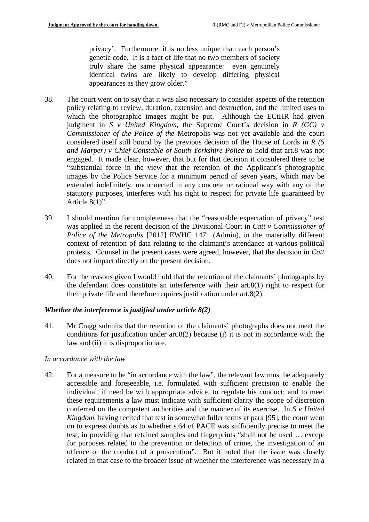privacy'. Furthermore, it is no less unique than each person's genetic code. It is a fact of life that no two members of society truly share the same physical appearance: even genuinely identical twins are likely to develop differing physical appearances as they grow older."

- 38. The court went on to say that it was also necessary to consider aspects of the retention policy relating to review, duration, extension and destruction, and the limited uses to which the photographic images might be put. Although the ECtHR had given judgment in *S v United Kingdom*, the Supreme Court's decision in *R (GC) v Commissioner of the Police of the* Metropolis was not yet available and the court considered itself still bound by the previous decision of the House of Lords in *R (S and Marper) v Chief Constable of South Yorkshire Police* to hold that art.8 was not engaged. It made clear, however, that but for that decision it considered there to be "substantial force in the view that the retention of the Applicant's photographic images by the Police Service for a minimum period of seven years, which may be extended indefinitely, unconnected in any concrete or rational way with any of the statutory purposes, interferes with his right to respect for private life guaranteed by Article 8(1)".
- 39. I should mention for completeness that the "reasonable expectation of privacy" test was applied in the recent decision of the Divisional Court in *Catt v Commissioner of Police of the Metropolis* [2012] EWHC 1471 (Admin), in the materially different context of retention of data relating to the claimant's attendance at various political protests. Counsel in the present cases were agreed, however, that the decision in *Catt*  does not impact directly on the present decision.
- 40. For the reasons given I would hold that the retention of the claimants' photographs by the defendant does constitute an interference with their art.8(1) right to respect for their private life and therefore requires justification under art.8(2).

### *Whether the interference is justified under article 8(2)*

41. Mr Cragg submits that the retention of the claimants' photographs does not meet the conditions for justification under art.8(2) because (i) it is not in accordance with the law and (ii) it is disproportionate.

#### *In accordance with the law*

42. For a measure to be "in accordance with the law", the relevant law must be adequately accessible and foreseeable, i.e. formulated with sufficient precision to enable the individual, if need be with appropriate advice, to regulate his conduct; and to meet these requirements a law must indicate with sufficient clarity the scope of discretion conferred on the competent authorities and the manner of its exercise. In *S v United Kingdom*, having recited that test in somewhat fuller terms at para [95], the court went on to express doubts as to whether s.64 of PACE was sufficiently precise to meet the test, in providing that retained samples and fingerprints "shall not be used … except for purposes related to the prevention or detection of crime, the investigation of an offence or the conduct of a prosecution". But it noted that the issue was closely related in that case to the broader issue of whether the interference was necessary in a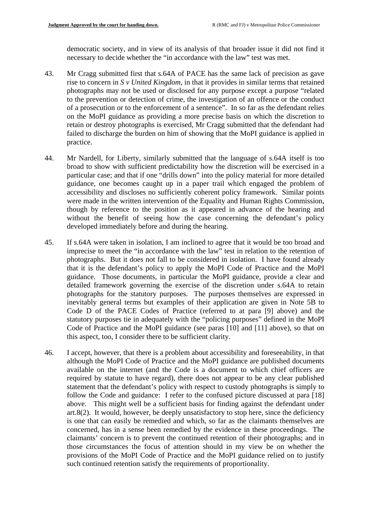democratic society, and in view of its analysis of that broader issue it did not find it necessary to decide whether the "in accordance with the law" test was met.

- 43. Mr Cragg submitted first that s.64A of PACE has the same lack of precision as gave rise to concern in *S v United Kingdom*, in that it provides in similar terms that retained photographs may not be used or disclosed for any purpose except a purpose "related to the prevention or detection of crime, the investigation of an offence or the conduct of a prosecution or to the enforcement of a sentence". In so far as the defendant relies on the MoPI guidance as providing a more precise basis on which the discretion to retain or destroy photographs is exercised, Mr Cragg submitted that the defendant had failed to discharge the burden on him of showing that the MoPI guidance is applied in practice.
- 44. Mr Nardell, for Liberty, similarly submitted that the language of s.64A itself is too broad to show with sufficient predictability how the discretion will be exercised in a particular case; and that if one "drills down" into the policy material for more detailed guidance, one becomes caught up in a paper trail which engaged the problem of accessibility and discloses no sufficiently coherent policy framework. Similar points were made in the written intervention of the Equality and Human Rights Commission, though by reference to the position as it appeared in advance of the hearing and without the benefit of seeing how the case concerning the defendant's policy developed immediately before and during the hearing.
- 45. If s.64A were taken in isolation, I am inclined to agree that it would be too broad and imprecise to meet the "in accordance with the law" test in relation to the retention of photographs. But it does not fall to be considered in isolation. I have found already that it is the defendant's policy to apply the MoPI Code of Practice and the MoPI guidance. Those documents, in particular the MoPI guidance, provide a clear and detailed framework governing the exercise of the discretion under s.64A to retain photographs for the statutory purposes. The purposes themselves are expressed in inevitably general terms but examples of their application are given in Note 5B to Code D of the PACE Codes of Practice (referred to at para [9] above) and the statutory purposes tie in adequately with the "policing purposes" defined in the MoPI Code of Practice and the MoPI guidance (see paras [10] and [11] above), so that on this aspect, too, I consider there to be sufficient clarity.
- 46. I accept, however, that there is a problem about accessibility and foreseeability, in that although the MoPI Code of Practice and the MoPI guidance are published documents available on the internet (and the Code is a document to which chief officers are required by statute to have regard), there does not appear to be any clear published statement that the defendant's policy with respect to custody photographs is simply to follow the Code and guidance: I refer to the confused picture discussed at para [18] above. This might well be a sufficient basis for finding against the defendant under art.8(2). It would, however, be deeply unsatisfactory to stop here, since the deficiency is one that can easily be remedied and which, so far as the claimants themselves are concerned, has in a sense been remedied by the evidence in these proceedings. The claimants' concern is to prevent the continued retention of their photographs; and in those circumstances the focus of attention should in my view be on whether the provisions of the MoPI Code of Practice and the MoPI guidance relied on to justify such continued retention satisfy the requirements of proportionality.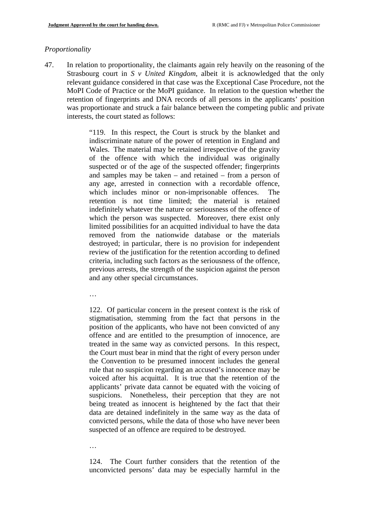### *Proportionality*

47. In relation to proportionality, the claimants again rely heavily on the reasoning of the Strasbourg court in *S v United Kingdom*, albeit it is acknowledged that the only relevant guidance considered in that case was the Exceptional Case Procedure, not the MoPI Code of Practice or the MoPI guidance. In relation to the question whether the retention of fingerprints and DNA records of all persons in the applicants' position was proportionate and struck a fair balance between the competing public and private interests, the court stated as follows:

> "119. In this respect, the Court is struck by the blanket and indiscriminate nature of the power of retention in England and Wales. The material may be retained irrespective of the gravity of the offence with which the individual was originally suspected or of the age of the suspected offender; fingerprints and samples may be taken – and retained – from a person of any age, arrested in connection with a recordable offence, which includes minor or non-imprisonable offences. The retention is not time limited; the material is retained indefinitely whatever the nature or seriousness of the offence of which the person was suspected. Moreover, there exist only limited possibilities for an acquitted individual to have the data removed from the nationwide database or the materials destroyed; in particular, there is no provision for independent review of the justification for the retention according to defined criteria, including such factors as the seriousness of the offence, previous arrests, the strength of the suspicion against the person and any other special circumstances.

…

122. Of particular concern in the present context is the risk of stigmatisation, stemming from the fact that persons in the position of the applicants, who have not been convicted of any offence and are entitled to the presumption of innocence, are treated in the same way as convicted persons. In this respect, the Court must bear in mind that the right of every person under the Convention to be presumed innocent includes the general rule that no suspicion regarding an accused's innocence may be voiced after his acquittal. It is true that the retention of the applicants' private data cannot be equated with the voicing of suspicions. Nonetheless, their perception that they are not being treated as innocent is heightened by the fact that their data are detained indefinitely in the same way as the data of convicted persons, while the data of those who have never been suspected of an offence are required to be destroyed.

…

124. The Court further considers that the retention of the unconvicted persons' data may be especially harmful in the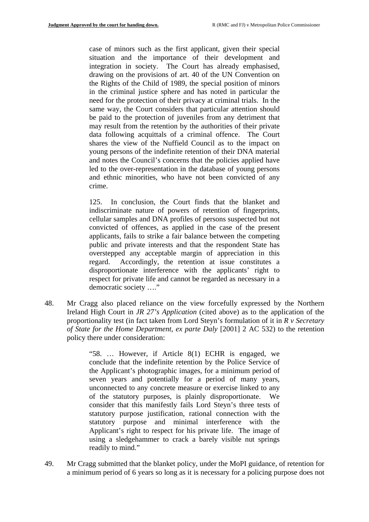case of minors such as the first applicant, given their special situation and the importance of their development and integration in society. The Court has already emphasised, drawing on the provisions of art. 40 of the UN Convention on the Rights of the Child of 1989, the special position of minors in the criminal justice sphere and has noted in particular the need for the protection of their privacy at criminal trials. In the same way, the Court considers that particular attention should be paid to the protection of juveniles from any detriment that may result from the retention by the authorities of their private data following acquittals of a criminal offence. The Court shares the view of the Nuffield Council as to the impact on young persons of the indefinite retention of their DNA material and notes the Council's concerns that the policies applied have led to the over-representation in the database of young persons and ethnic minorities, who have not been convicted of any crime.

125. In conclusion, the Court finds that the blanket and indiscriminate nature of powers of retention of fingerprints, cellular samples and DNA profiles of persons suspected but not convicted of offences, as applied in the case of the present applicants, fails to strike a fair balance between the competing public and private interests and that the respondent State has overstepped any acceptable margin of appreciation in this regard. Accordingly, the retention at issue constitutes a disproportionate interference with the applicants' right to respect for private life and cannot be regarded as necessary in a democratic society …."

48. Mr Cragg also placed reliance on the view forcefully expressed by the Northern Ireland High Court in *JR 27's Application* (cited above) as to the application of the proportionality test (in fact taken from Lord Steyn's formulation of it in *R v Secretary of State for the Home Department, ex parte Daly* [2001] 2 AC 532) to the retention policy there under consideration:

> "58. … However, if Article 8(1) ECHR is engaged, we conclude that the indefinite retention by the Police Service of the Applicant's photographic images, for a minimum period of seven years and potentially for a period of many years, unconnected to any concrete measure or exercise linked to any of the statutory purposes, is plainly disproportionate. We consider that this manifestly fails Lord Steyn's three tests of statutory purpose justification, rational connection with the statutory purpose and minimal interference with the Applicant's right to respect for his private life. The image of using a sledgehammer to crack a barely visible nut springs readily to mind."

49. Mr Cragg submitted that the blanket policy, under the MoPI guidance, of retention for a minimum period of 6 years so long as it is necessary for a policing purpose does not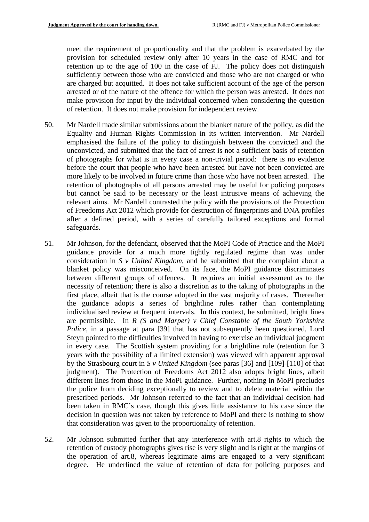meet the requirement of proportionality and that the problem is exacerbated by the provision for scheduled review only after 10 years in the case of RMC and for retention up to the age of 100 in the case of FJ. The policy does not distinguish sufficiently between those who are convicted and those who are not charged or who are charged but acquitted. It does not take sufficient account of the age of the person arrested or of the nature of the offence for which the person was arrested. It does not make provision for input by the individual concerned when considering the question of retention. It does not make provision for independent review.

- 50. Mr Nardell made similar submissions about the blanket nature of the policy, as did the Equality and Human Rights Commission in its written intervention. Mr Nardell emphasised the failure of the policy to distinguish between the convicted and the unconvicted, and submitted that the fact of arrest is not a sufficient basis of retention of photographs for what is in every case a non-trivial period: there is no evidence before the court that people who have been arrested but have not been convicted are more likely to be involved in future crime than those who have not been arrested. The retention of photographs of all persons arrested may be useful for policing purposes but cannot be said to be necessary or the least intrusive means of achieving the relevant aims. Mr Nardell contrasted the policy with the provisions of the Protection of Freedoms Act 2012 which provide for destruction of fingerprints and DNA profiles after a defined period, with a series of carefully tailored exceptions and formal safeguards.
- 51. Mr Johnson, for the defendant, observed that the MoPI Code of Practice and the MoPI guidance provide for a much more tightly regulated regime than was under consideration in *S v United Kingdom*, and he submitted that the complaint about a blanket policy was misconceived. On its face, the MoPI guidance discriminates between different groups of offences. It requires an initial assessment as to the necessity of retention; there is also a discretion as to the taking of photographs in the first place, albeit that is the course adopted in the vast majority of cases. Thereafter the guidance adopts a series of brightline rules rather than contemplating individualised review at frequent intervals. In this context, he submitted, bright lines are permissible. In *R (S and Marper) v Chief Constable of the South Yorkshire Police*, in a passage at para [39] that has not subsequently been questioned, Lord Steyn pointed to the difficulties involved in having to exercise an individual judgment in every case. The Scottish system providing for a brightline rule (retention for 3 years with the possibility of a limited extension) was viewed with apparent approval by the Strasbourg court in *S v United Kingdom* (see paras [36] and [109]-[110] of that judgment). The Protection of Freedoms Act 2012 also adopts bright lines, albeit different lines from those in the MoPI guidance. Further, nothing in MoPI precludes the police from deciding exceptionally to review and to delete material within the prescribed periods. Mr Johnson referred to the fact that an individual decision had been taken in RMC's case, though this gives little assistance to his case since the decision in question was not taken by reference to MoPI and there is nothing to show that consideration was given to the proportionality of retention.
- 52. Mr Johnson submitted further that any interference with art.8 rights to which the retention of custody photographs gives rise is very slight and is right at the margins of the operation of art.8, whereas legitimate aims are engaged to a very significant degree. He underlined the value of retention of data for policing purposes and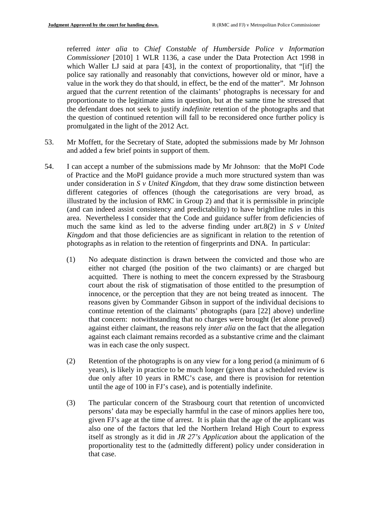referred *inter alia* to *Chief Constable of Humberside Police v Information Commissioner* [2010] 1 WLR 1136, a case under the Data Protection Act 1998 in which Waller LJ said at para [43], in the context of proportionality, that "[if] the police say rationally and reasonably that convictions, however old or minor, have a value in the work they do that should, in effect, be the end of the matter". Mr Johnson argued that the *current* retention of the claimants' photographs is necessary for and proportionate to the legitimate aims in question, but at the same time he stressed that the defendant does not seek to justify *indefinite* retention of the photographs and that the question of continued retention will fall to be reconsidered once further policy is promulgated in the light of the 2012 Act.

- 53. Mr Moffett, for the Secretary of State, adopted the submissions made by Mr Johnson and added a few brief points in support of them.
- 54. I can accept a number of the submissions made by Mr Johnson: that the MoPI Code of Practice and the MoPI guidance provide a much more structured system than was under consideration in *S v United Kingdom*, that they draw some distinction between different categories of offences (though the categorisations are very broad, as illustrated by the inclusion of RMC in Group 2) and that it is permissible in principle (and can indeed assist consistency and predictability) to have brightline rules in this area. Nevertheless I consider that the Code and guidance suffer from deficiencies of much the same kind as led to the adverse finding under art.8(2) in *S v United Kingdom* and that those deficiencies are as significant in relation to the retention of photographs as in relation to the retention of fingerprints and DNA. In particular:
	- (1) No adequate distinction is drawn between the convicted and those who are either not charged (the position of the two claimants) or are charged but acquitted. There is nothing to meet the concern expressed by the Strasbourg court about the risk of stigmatisation of those entitled to the presumption of innocence, or the perception that they are not being treated as innocent. The reasons given by Commander Gibson in support of the individual decisions to continue retention of the claimants' photographs (para [22] above) underline that concern: notwithstanding that no charges were brought (let alone proved) against either claimant, the reasons rely *inter alia* on the fact that the allegation against each claimant remains recorded as a substantive crime and the claimant was in each case the only suspect.
	- (2) Retention of the photographs is on any view for a long period (a minimum of 6 years), is likely in practice to be much longer (given that a scheduled review is due only after 10 years in RMC's case, and there is provision for retention until the age of 100 in FJ's case), and is potentially indefinite.
	- (3) The particular concern of the Strasbourg court that retention of unconvicted persons' data may be especially harmful in the case of minors applies here too, given FJ's age at the time of arrest. It is plain that the age of the applicant was also one of the factors that led the Northern Ireland High Court to express itself as strongly as it did in *JR 27's Application* about the application of the proportionality test to the (admittedly different) policy under consideration in that case.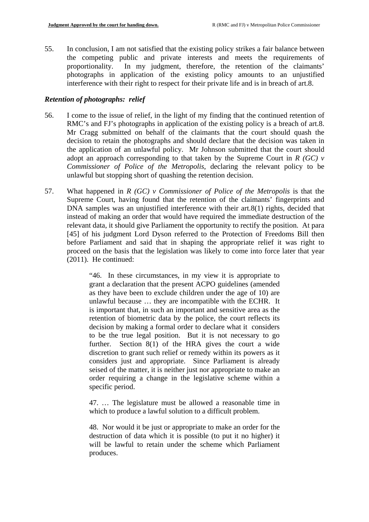55. In conclusion, I am not satisfied that the existing policy strikes a fair balance between the competing public and private interests and meets the requirements of proportionality. In my judgment, therefore, the retention of the claimants' In my judgment, therefore, the retention of the claimants' photographs in application of the existing policy amounts to an unjustified interference with their right to respect for their private life and is in breach of art.8.

## *Retention of photographs: relief*

- RMC's and FJ's photographs in application of the existing policy is a breach of art.8. Mr Cragg submitted on behalf of the claimants that the court should quash the 56. I come to the issue of relief, in the light of my finding that the continued retention of decision to retain the photographs and should declare that the decision was taken in the application of an unlawful policy. Mr Johnson submitted that the court should adopt an approach corresponding to that taken by the Supreme Court in  $R$  (GC)  $\nu$ *Commissioner of Police of the Metropolis*, declaring the relevant policy to be unlawful but stopping short of quashing the retention decision.
- 57. What happened in *R (GC) v Commissioner of Police of the Metropolis* is that the Supreme Court, having found that the retention of the claimants' fingerprints and DNA samples was an unjustified interference with their art.8(1) rights, decided that instead of making an order that would have required the immediate destruction of the relevant data, it should give Parliament the opportunity to rectify the position. At para [45] of his judgment Lord Dyson referred to the Protection of Freedoms Bill then before Parliament and said that in shaping the appropriate relief it was right to proceed on the basis that the legislation was likely to come into force later that year (2011). He continued:

"46. In these circumstances, in my view it is appropriate to grant a declaration that the present ACPO guidelines (amended as they have been to exclude children under the age of 10) are unlawful because … they are incompatible with the ECHR. It is important that, in such an important and sensitive area as the retention of biometric data by the police, the court reflects its decision by making a formal order to declare what it considers to be the true legal position. But it is not necessary to go further. Section 8(1) of the HRA gives the court a wide discretion to grant such relief or remedy within its powers as it considers just and appropriate. Since Parliament is already seised of the matter, it is neither just nor appropriate to make an order requiring a change in the legislative scheme within a specific period.

47. … The legislature must be allowed a reasonable time in which to produce a lawful solution to a difficult problem.

48. Nor would it be just or appropriate to make an order for the destruction of data which it is possible (to put it no higher) it will be lawful to retain under the scheme which Parliament produces.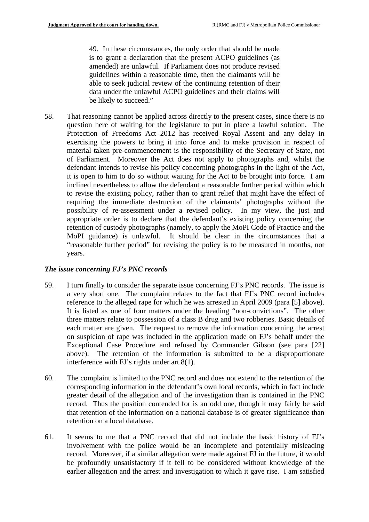49. In these circumstances, the only order that should be made is to grant a declaration that the present ACPO guidelines (as amended) are unlawful. If Parliament does not produce revised guidelines within a reasonable time, then the claimants will be able to seek judicial review of the continuing retention of their data under the unlawful ACPO guidelines and their claims will be likely to succeed."

58. That reasoning cannot be applied across directly to the present cases, since there is no question here of waiting for the legislature to put in place a lawful solution. The Protection of Freedoms Act 2012 has received Royal Assent and any delay in exercising the powers to bring it into force and to make provision in respect of material taken pre-commencement is the responsibility of the Secretary of State, not of Parliament. Moreover the Act does not apply to photographs and, whilst the defendant intends to revise his policy concerning photographs in the light of the Act, it is open to him to do so without waiting for the Act to be brought into force. I am inclined nevertheless to allow the defendant a reasonable further period within which to revise the existing policy, rather than to grant relief that might have the effect of requiring the immediate destruction of the claimants' photographs without the possibility of re-assessment under a revised policy. In my view, the just and appropriate order is to declare that the defendant's existing policy concerning the retention of custody photographs (namely, to apply the MoPI Code of Practice and the MoPI guidance) is unlawful. It should be clear in the circumstances that a "reasonable further period" for revising the policy is to be measured in months, not years.

# *The issue concerning FJ's PNC records*

- 59. I turn finally to consider the separate issue concerning FJ's PNC records. The issue is a very short one. The complaint relates to the fact that FJ's PNC record includes reference to the alleged rape for which he was arrested in April 2009 (para [5] above). It is listed as one of four matters under the heading "non-convictions". The other three matters relate to possession of a class B drug and two robberies. Basic details of each matter are given. The request to remove the information concerning the arrest on suspicion of rape was included in the application made on FJ's behalf under the Exceptional Case Procedure and refused by Commander Gibson (see para [22] above). The retention of the information is submitted to be a disproportionate interference with FJ's rights under art.8(1).
- 60. The complaint is limited to the PNC record and does not extend to the retention of the corresponding information in the defendant's own local records, which in fact include greater detail of the allegation and of the investigation than is contained in the PNC record. Thus the position contended for is an odd one, though it may fairly be said that retention of the information on a national database is of greater significance than retention on a local database.
- 61. It seems to me that a PNC record that did not include the basic history of FJ's involvement with the police would be an incomplete and potentially misleading record. Moreover, if a similar allegation were made against FJ in the future, it would be profoundly unsatisfactory if it fell to be considered without knowledge of the earlier allegation and the arrest and investigation to which it gave rise. I am satisfied